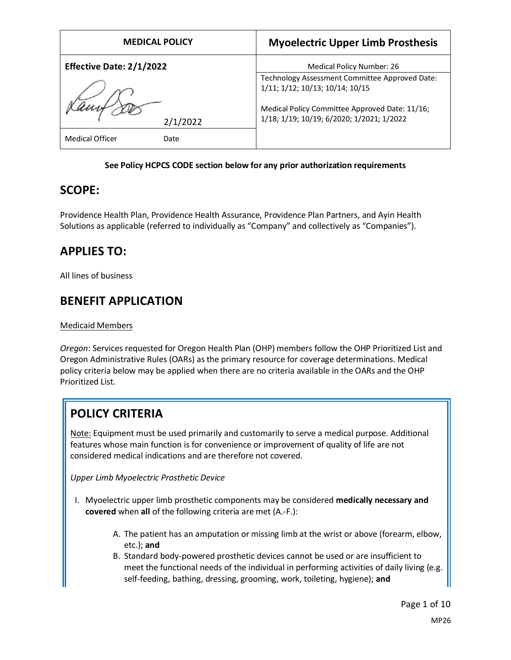| <b>MEDICAL POLICY</b>           | <b>Myoelectric Upper Limb Prosthesis</b>                                                                                                                                         |
|---------------------------------|----------------------------------------------------------------------------------------------------------------------------------------------------------------------------------|
| <b>Effective Date: 2/1/2022</b> | Medical Policy Number: 26                                                                                                                                                        |
|                                 | Technology Assessment Committee Approved Date:<br>1/11; 1/12; 10/13; 10/14; 10/15<br>Medical Policy Committee Approved Date: 11/16;<br>1/18; 1/19; 10/19; 6/2020; 1/2021; 1/2022 |
| 2/1/2022                        |                                                                                                                                                                                  |
| <b>Medical Officer</b><br>Date  |                                                                                                                                                                                  |

#### **See Policy HCPCS CODE section below for any prior authorization requirements**

### **SCOPE:**

Providence Health Plan, Providence Health Assurance, Providence Plan Partners, and Ayin Health Solutions as applicable (referred to individually as "Company" and collectively as "Companies").

# **APPLIES TO:**

All lines of business

# **BENEFIT APPLICATION**

Medicaid Members

*Oregon*: Services requested for Oregon Health Plan (OHP) members follow the OHP Prioritized List and Oregon Administrative Rules (OARs) as the primary resource for coverage determinations. Medical policy criteria below may be applied when there are no criteria available in the OARs and the OHP Prioritized List.

# **POLICY CRITERIA**

Note: Equipment must be used primarily and customarily to serve a medical purpose. Additional features whose main function is for convenience or improvement of quality of life are not considered medical indications and are therefore not covered.

*Upper Limb Myoelectric Prosthetic Device*

- I. Myoelectric upper limb prosthetic components may be considered **medically necessary and covered** when **all** of the following criteria are met (A.-F.):
	- A. The patient has an amputation or missing limb at the wrist or above (forearm, elbow, etc.); **and**
	- B. Standard body-powered prosthetic devices cannot be used or are insufficient to meet the functional needs of the individual in performing activities of daily living (e.g. self-feeding, bathing, dressing, grooming, work, toileting, hygiene); **and**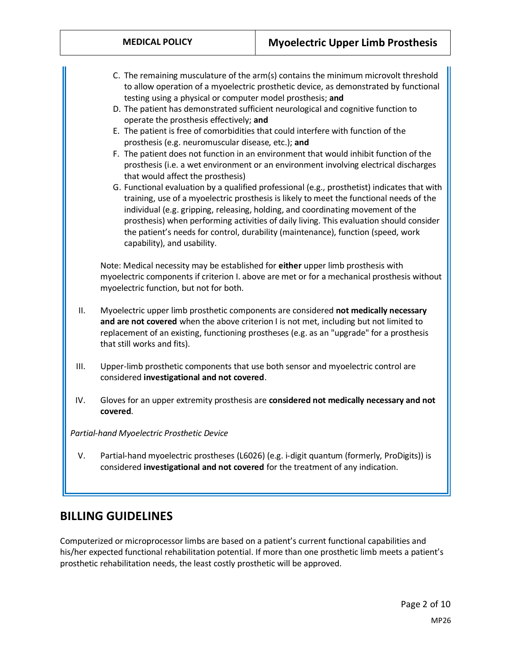- C. The remaining musculature of the arm(s) contains the minimum microvolt threshold to allow operation of a myoelectric prosthetic device, as demonstrated by functional testing using a physical or computer model prosthesis; **and**
- D. The patient has demonstrated sufficient neurological and cognitive function to operate the prosthesis effectively; **and**
- E. The patient is free of comorbidities that could interfere with function of the prosthesis (e.g. neuromuscular disease, etc.); **and**
- F. The patient does not function in an environment that would inhibit function of the prosthesis (i.e. a wet environment or an environment involving electrical discharges that would affect the prosthesis)
- G. Functional evaluation by a qualified professional (e.g., prosthetist) indicates that with training, use of a myoelectric prosthesis is likely to meet the functional needs of the individual (e.g. gripping, releasing, holding, and coordinating movement of the prosthesis) when performing activities of daily living. This evaluation should consider the patient's needs for control, durability (maintenance), function (speed, work capability), and usability.

Note: Medical necessity may be established for **either** upper limb prosthesis with myoelectric components if criterion I. above are met or for a mechanical prosthesis without myoelectric function, but not for both.

- II. Myoelectric upper limb prosthetic components are considered **not medically necessary and are not covered** when the above criterion I is not met, including but not limited to replacement of an existing, functioning prostheses (e.g. as an "upgrade" for a prosthesis that still works and fits).
- III. Upper-limb prosthetic components that use both sensor and myoelectric control are considered **investigational and not covered**.
- IV. Gloves for an upper extremity prosthesis are **considered not medically necessary and not covered**.

*Partial-hand Myoelectric Prosthetic Device*

V. Partial-hand myoelectric prostheses (L6026) (e.g. i-digit quantum (formerly, ProDigits)) is considered **investigational and not covered** for the treatment of any indication.

### **BILLING GUIDELINES**

Computerized or microprocessor limbs are based on a patient's current functional capabilities and his/her expected functional rehabilitation potential. If more than one prosthetic limb meets a patient's prosthetic rehabilitation needs, the least costly prosthetic will be approved.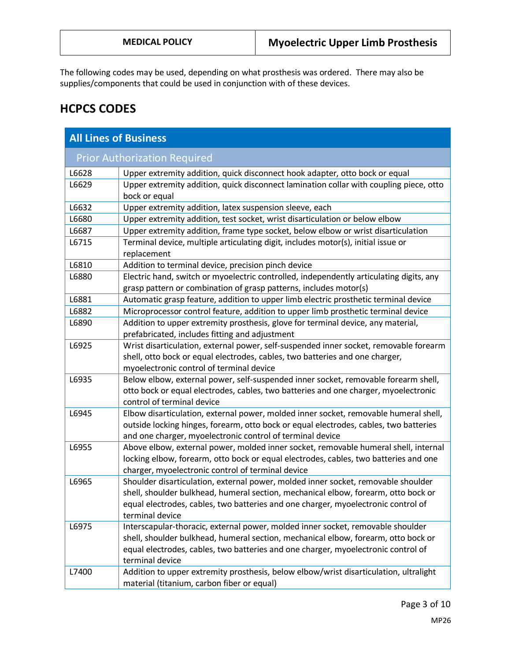The following codes may be used, depending on what prosthesis was ordered. There may also be supplies/components that could be used in conjunction with of these devices.

## **HCPCS CODES**

| <b>All Lines of Business</b>        |                                                                                                                                                                                                                                                                                 |  |
|-------------------------------------|---------------------------------------------------------------------------------------------------------------------------------------------------------------------------------------------------------------------------------------------------------------------------------|--|
| <b>Prior Authorization Required</b> |                                                                                                                                                                                                                                                                                 |  |
| L6628                               | Upper extremity addition, quick disconnect hook adapter, otto bock or equal                                                                                                                                                                                                     |  |
| L6629                               | Upper extremity addition, quick disconnect lamination collar with coupling piece, otto<br>bock or equal                                                                                                                                                                         |  |
| L6632                               | Upper extremity addition, latex suspension sleeve, each                                                                                                                                                                                                                         |  |
| L6680                               | Upper extremity addition, test socket, wrist disarticulation or below elbow                                                                                                                                                                                                     |  |
| L6687                               | Upper extremity addition, frame type socket, below elbow or wrist disarticulation                                                                                                                                                                                               |  |
| L6715                               | Terminal device, multiple articulating digit, includes motor(s), initial issue or<br>replacement                                                                                                                                                                                |  |
| L6810                               | Addition to terminal device, precision pinch device                                                                                                                                                                                                                             |  |
| L6880                               | Electric hand, switch or myoelectric controlled, independently articulating digits, any<br>grasp pattern or combination of grasp patterns, includes motor(s)                                                                                                                    |  |
| L6881                               | Automatic grasp feature, addition to upper limb electric prosthetic terminal device                                                                                                                                                                                             |  |
| L6882                               | Microprocessor control feature, addition to upper limb prosthetic terminal device                                                                                                                                                                                               |  |
| L6890                               | Addition to upper extremity prosthesis, glove for terminal device, any material,<br>prefabricated, includes fitting and adjustment                                                                                                                                              |  |
| L6925                               | Wrist disarticulation, external power, self-suspended inner socket, removable forearm<br>shell, otto bock or equal electrodes, cables, two batteries and one charger,<br>myoelectronic control of terminal device                                                               |  |
| L6935                               | Below elbow, external power, self-suspended inner socket, removable forearm shell,<br>otto bock or equal electrodes, cables, two batteries and one charger, myoelectronic<br>control of terminal device                                                                         |  |
| L6945                               | Elbow disarticulation, external power, molded inner socket, removable humeral shell,<br>outside locking hinges, forearm, otto bock or equal electrodes, cables, two batteries<br>and one charger, myoelectronic control of terminal device                                      |  |
| L6955                               | Above elbow, external power, molded inner socket, removable humeral shell, internal<br>locking elbow, forearm, otto bock or equal electrodes, cables, two batteries and one<br>charger, myoelectronic control of terminal device                                                |  |
| L6965                               | Shoulder disarticulation, external power, molded inner socket, removable shoulder<br>shell, shoulder bulkhead, humeral section, mechanical elbow, forearm, otto bock or<br>equal electrodes, cables, two batteries and one charger, myoelectronic control of<br>terminal device |  |
| L6975                               | Interscapular-thoracic, external power, molded inner socket, removable shoulder<br>shell, shoulder bulkhead, humeral section, mechanical elbow, forearm, otto bock or<br>equal electrodes, cables, two batteries and one charger, myoelectronic control of<br>terminal device   |  |
| L7400                               | Addition to upper extremity prosthesis, below elbow/wrist disarticulation, ultralight<br>material (titanium, carbon fiber or equal)                                                                                                                                             |  |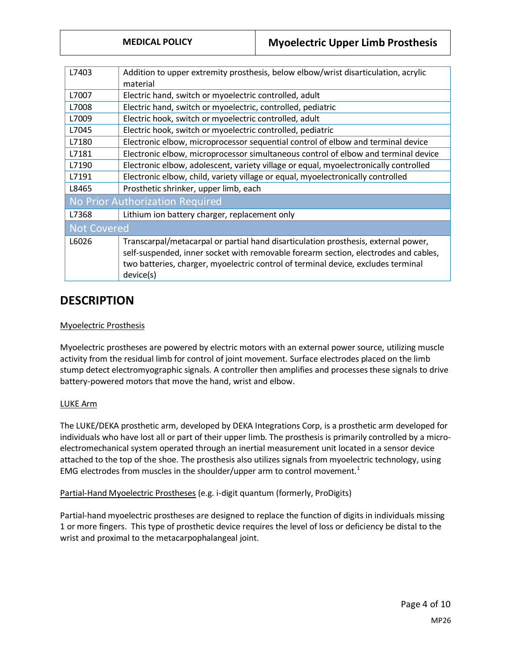| L7403                                  | Addition to upper extremity prosthesis, below elbow/wrist disarticulation, acrylic<br>material |  |
|----------------------------------------|------------------------------------------------------------------------------------------------|--|
|                                        |                                                                                                |  |
| L7007                                  | Electric hand, switch or myoelectric controlled, adult                                         |  |
| L7008                                  | Electric hand, switch or myoelectric, controlled, pediatric                                    |  |
| L7009                                  | Electric hook, switch or myoelectric controlled, adult                                         |  |
| L7045                                  | Electric hook, switch or myoelectric controlled, pediatric                                     |  |
| L7180                                  | Electronic elbow, microprocessor sequential control of elbow and terminal device               |  |
| L7181                                  | Electronic elbow, microprocessor simultaneous control of elbow and terminal device             |  |
| L7190                                  | Electronic elbow, adolescent, variety village or equal, myoelectronically controlled           |  |
| L7191                                  | Electronic elbow, child, variety village or equal, myoelectronically controlled                |  |
| L8465                                  | Prosthetic shrinker, upper limb, each                                                          |  |
| <b>No Prior Authorization Required</b> |                                                                                                |  |
| L7368                                  | Lithium ion battery charger, replacement only                                                  |  |
| <b>Not Covered</b>                     |                                                                                                |  |
| L6026                                  | Transcarpal/metacarpal or partial hand disarticulation prosthesis, external power,             |  |
|                                        | self-suspended, inner socket with removable forearm section, electrodes and cables,            |  |
|                                        | two batteries, charger, myoelectric control of terminal device, excludes terminal              |  |
|                                        |                                                                                                |  |
|                                        | device(s)                                                                                      |  |
|                                        |                                                                                                |  |

### **DESCRIPTION**

#### Myoelectric Prosthesis

Myoelectric prostheses are powered by electric motors with an external power source, utilizing muscle activity from the residual limb for control of joint movement. Surface electrodes placed on the limb stump detect electromyographic signals. A controller then amplifies and processes these signals to drive battery-powered motors that move the hand, wrist and elbow.

#### LUKE Arm

The LUKE/DEKA prosthetic arm, developed by DEKA Integrations Corp, is a prosthetic arm developed for individuals who have lost all or part of their upper limb. The prosthesis is primarily controlled by a microelectromechanical system operated through an inertial measurement unit located in a sensor device attached to the top of the shoe. The prosthesis also utilizes signals from myoelectric technology, using EMG electrodes from muscles in the shoulder/upper arm to control movement.<sup>1</sup>

#### Partial-Hand Myoelectric Prostheses (e.g. i-digit quantum (formerly, ProDigits)

Partial-hand myoelectric prostheses are designed to replace the function of digits in individuals missing 1 or more fingers. This type of prosthetic device requires the level of loss or deficiency be distal to the wrist and proximal to the metacarpophalangeal joint.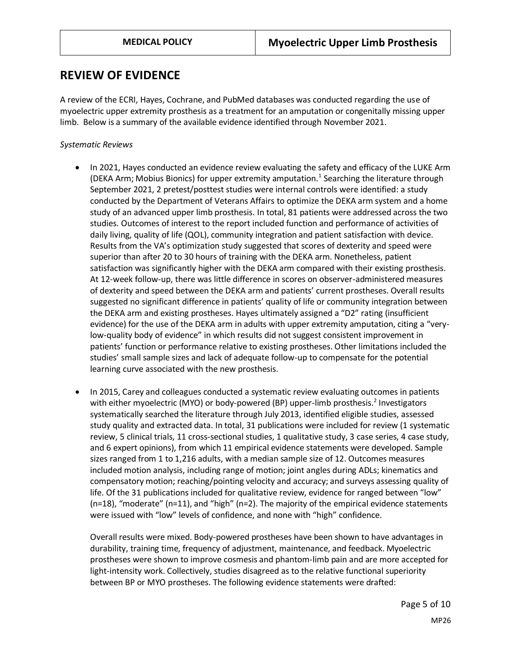### **REVIEW OF EVIDENCE**

A review of the ECRI, Hayes, Cochrane, and PubMed databases was conducted regarding the use of myoelectric upper extremity prosthesis as a treatment for an amputation or congenitally missing upper limb. Below is a summary of the available evidence identified through November 2021.

#### *Systematic Reviews*

- In 2021, Hayes conducted an evidence review evaluating the safety and efficacy of the LUKE Arm (DEKA Arm; Mobius Bionics) for upper extremity amputation.<sup>1</sup> Searching the literature through September 2021, 2 pretest/posttest studies were internal controls were identified: a study conducted by the Department of Veterans Affairs to optimize the DEKA arm system and a home study of an advanced upper limb prosthesis. In total, 81 patients were addressed across the two studies. Outcomes of interest to the report included function and performance of activities of daily living, quality of life (QOL), community integration and patient satisfaction with device. Results from the VA's optimization study suggested that scores of dexterity and speed were superior than after 20 to 30 hours of training with the DEKA arm. Nonetheless, patient satisfaction was significantly higher with the DEKA arm compared with their existing prosthesis. At 12-week follow-up, there was little difference in scores on observer-administered measures of dexterity and speed between the DEKA arm and patients' current prostheses. Overall results suggested no significant difference in patients' quality of life or community integration between the DEKA arm and existing prostheses. Hayes ultimately assigned a "D2" rating (insufficient evidence) for the use of the DEKA arm in adults with upper extremity amputation, citing a "verylow-quality body of evidence" in which results did not suggest consistent improvement in patients' function or performance relative to existing prostheses. Other limitations included the studies' small sample sizes and lack of adequate follow-up to compensate for the potential learning curve associated with the new prosthesis.
- In 2015, Carey and colleagues conducted a systematic review evaluating outcomes in patients with either myoelectric (MYO) or body-powered (BP) upper-limb prosthesis.<sup>2</sup> Investigators systematically searched the literature through July 2013, identified eligible studies, assessed study quality and extracted data. In total, 31 publications were included for review (1 systematic review, 5 clinical trials, 11 cross-sectional studies, 1 qualitative study, 3 case series, 4 case study, and 6 expert opinions), from which 11 empirical evidence statements were developed. Sample sizes ranged from 1 to 1,216 adults, with a median sample size of 12. Outcomes measures included motion analysis, including range of motion; joint angles during ADLs; kinematics and compensatory motion; reaching/pointing velocity and accuracy; and surveys assessing quality of life. Of the 31 publications included for qualitative review, evidence for ranged between "low" (n=18), "moderate" (n=11), and "high" (n=2). The majority of the empirical evidence statements were issued with "low" levels of confidence, and none with "high" confidence.

Overall results were mixed. Body-powered prostheses have been shown to have advantages in durability, training time, frequency of adjustment, maintenance, and feedback. Myoelectric prostheses were shown to improve cosmesis and phantom-limb pain and are more accepted for light-intensity work. Collectively, studies disagreed as to the relative functional superiority between BP or MYO prostheses. The following evidence statements were drafted: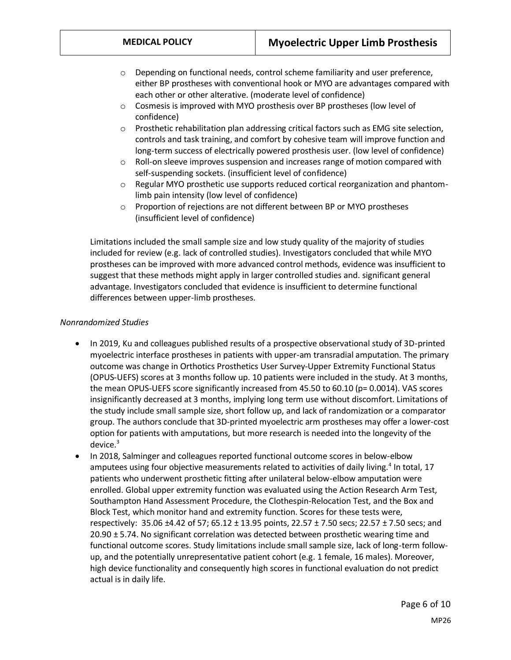- $\circ$  Depending on functional needs, control scheme familiarity and user preference, either BP prostheses with conventional hook or MYO are advantages compared with each other or other alterative. (moderate level of confidence)
- $\circ$  Cosmesis is improved with MYO prosthesis over BP prostheses (low level of confidence)
- o Prosthetic rehabilitation plan addressing critical factors such as EMG site selection, controls and task training, and comfort by cohesive team will improve function and long-term success of electrically powered prosthesis user. (low level of confidence)
- $\circ$  Roll-on sleeve improves suspension and increases range of motion compared with self-suspending sockets. (insufficient level of confidence)
- $\circ$  Regular MYO prosthetic use supports reduced cortical reorganization and phantomlimb pain intensity (low level of confidence)
- o Proportion of rejections are not different between BP or MYO prostheses (insufficient level of confidence)

Limitations included the small sample size and low study quality of the majority of studies included for review (e.g. lack of controlled studies). Investigators concluded that while MYO prostheses can be improved with more advanced control methods, evidence was insufficient to suggest that these methods might apply in larger controlled studies and. significant general advantage. Investigators concluded that evidence is insufficient to determine functional differences between upper-limb prostheses.

#### *Nonrandomized Studies*

- In 2019, Ku and colleagues published results of a prospective observational study of 3D-printed myoelectric interface prostheses in patients with upper-am transradial amputation. The primary outcome was change in Orthotics Prosthetics User Survey-Upper Extremity Functional Status (OPUS-UEFS) scores at 3 months follow up. 10 patients were included in the study. At 3 months, the mean OPUS-UEFS score significantly increased from 45.50 to 60.10 (p= 0.0014). VAS scores insignificantly decreased at 3 months, implying long term use without discomfort. Limitations of the study include small sample size, short follow up, and lack of randomization or a comparator group. The authors conclude that 3D-printed myoelectric arm prostheses may offer a lower-cost option for patients with amputations, but more research is needed into the longevity of the device. $3$
- In 2018, Salminger and colleagues reported functional outcome scores in below-elbow amputees using four objective measurements related to activities of daily living.<sup>4</sup> In total, 17 patients who underwent prosthetic fitting after unilateral below-elbow amputation were enrolled. Global upper extremity function was evaluated using the Action Research Arm Test, Southampton Hand Assessment Procedure, the Clothespin-Relocation Test, and the Box and Block Test, which monitor hand and extremity function. Scores for these tests were, respectively: 35.06 ±4.42 of 57; 65.12 ± 13.95 points, 22.57 ± 7.50 secs; 22.57 ± 7.50 secs; and 20.90 ± 5.74. No significant correlation was detected between prosthetic wearing time and functional outcome scores. Study limitations include small sample size, lack of long-term followup, and the potentially unrepresentative patient cohort (e.g. 1 female, 16 males). Moreover, high device functionality and consequently high scores in functional evaluation do not predict actual is in daily life.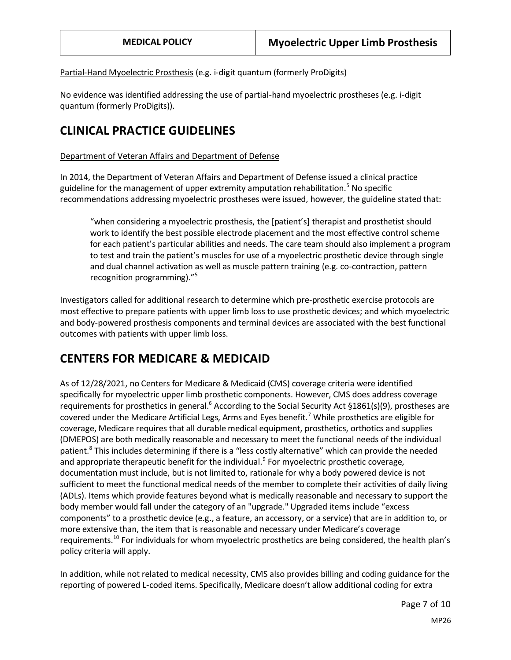Partial-Hand Myoelectric Prosthesis (e.g. i-digit quantum (formerly ProDigits)

No evidence was identified addressing the use of partial-hand myoelectric prostheses (e.g. i-digit quantum (formerly ProDigits)).

### **CLINICAL PRACTICE GUIDELINES**

#### Department of Veteran Affairs and Department of Defense

In 2014, the Department of Veteran Affairs and Department of Defense issued a clinical practice guideline for the management of upper extremity amputation rehabilitation.<sup>5</sup> No specific recommendations addressing myoelectric prostheses were issued, however, the guideline stated that:

"when considering a myoelectric prosthesis, the [patient's] therapist and prosthetist should work to identify the best possible electrode placement and the most effective control scheme for each patient's particular abilities and needs. The care team should also implement a program to test and train the patient's muscles for use of a myoelectric prosthetic device through single and dual channel activation as well as muscle pattern training (e.g. co-contraction, pattern recognition programming)."<sup>5</sup>

Investigators called for additional research to determine which pre-prosthetic exercise protocols are most effective to prepare patients with upper limb loss to use prosthetic devices; and which myoelectric and body-powered prosthesis components and terminal devices are associated with the best functional outcomes with patients with upper limb loss.

### **CENTERS FOR MEDICARE & MEDICAID**

As of 12/28/2021, no Centers for Medicare & Medicaid (CMS) coverage criteria were identified specifically for myoelectric upper limb prosthetic components. However, CMS does address coverage requirements for prosthetics in general.<sup>6</sup> According to the Social Security Act §1861(s)(9), prostheses are covered under the Medicare Artificial Legs, Arms and Eyes benefit.<sup>7</sup> While prosthetics are eligible for coverage, Medicare requires that all durable medical equipment, prosthetics, orthotics and supplies (DMEPOS) are both medically reasonable and necessary to meet the functional needs of the individual patient.<sup>8</sup> This includes determining if there is a "less costly alternative" which can provide the needed and appropriate therapeutic benefit for the individual.<sup>9</sup> For myoelectric prosthetic coverage, documentation must include, but is not limited to, rationale for why a body powered device is not sufficient to meet the functional medical needs of the member to complete their activities of daily living (ADLs). Items which provide features beyond what is medically reasonable and necessary to support the body member would fall under the category of an "upgrade." Upgraded items include "excess components" to a prosthetic device (e.g., a feature, an accessory, or a service) that are in addition to, or more extensive than, the item that is reasonable and necessary under Medicare's coverage requirements.<sup>10</sup> For individuals for whom myoelectric prosthetics are being considered, the health plan's policy criteria will apply.

In addition, while not related to medical necessity, CMS also provides billing and coding guidance for the reporting of powered L-coded items. Specifically, Medicare doesn't allow additional coding for extra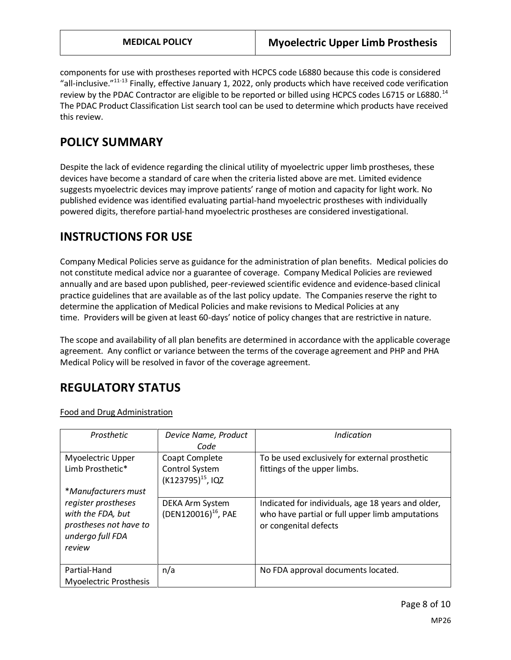components for use with prostheses reported with HCPCS code L6880 because this code is considered "all-inclusive."11-13 Finally, effective January 1, 2022, only products which have received code verification review by the PDAC Contractor are eligible to be reported or billed using HCPCS codes L6715 or L6880.<sup>14</sup> The PDAC Product Classification List search tool can be used to determine which products have received this review.

### **POLICY SUMMARY**

Despite the lack of evidence regarding the clinical utility of myoelectric upper limb prostheses, these devices have become a standard of care when the criteria listed above are met. Limited evidence suggests myoelectric devices may improve patients' range of motion and capacity for light work. No published evidence was identified evaluating partial-hand myoelectric prostheses with individually powered digits, therefore partial-hand myoelectric prostheses are considered investigational.

# **INSTRUCTIONS FOR USE**

Company Medical Policies serve as guidance for the administration of plan benefits. Medical policies do not constitute medical advice nor a guarantee of coverage. Company Medical Policies are reviewed annually and are based upon published, peer-reviewed scientific evidence and evidence-based clinical practice guidelines that are available as of the last policy update. The Companies reserve the right to determine the application of Medical Policies and make revisions to Medical Policies at any time. Providers will be given at least 60-days' notice of policy changes that are restrictive in nature.

The scope and availability of all plan benefits are determined in accordance with the applicable coverage agreement. Any conflict or variance between the terms of the coverage agreement and PHP and PHA Medical Policy will be resolved in favor of the coverage agreement.

# **REGULATORY STATUS**

Food and Drug Administration

| Prosthetic                                                                                                              | Device Name, Product<br>Code                                      | Indication                                                                                                                     |
|-------------------------------------------------------------------------------------------------------------------------|-------------------------------------------------------------------|--------------------------------------------------------------------------------------------------------------------------------|
| Myoelectric Upper<br>Limb Prosthetic*                                                                                   | Coapt Complete<br>Control System<br>(K123795) <sup>15</sup> , IQZ | To be used exclusively for external prosthetic<br>fittings of the upper limbs.                                                 |
| *Manufacturers must<br>register prostheses<br>with the FDA, but<br>prostheses not have to<br>undergo full FDA<br>review | DEKA Arm System<br>(DEN120016) <sup>16</sup> , PAE                | Indicated for individuals, age 18 years and older,<br>who have partial or full upper limb amputations<br>or congenital defects |
| Partial-Hand<br><b>Myoelectric Prosthesis</b>                                                                           | n/a                                                               | No FDA approval documents located.                                                                                             |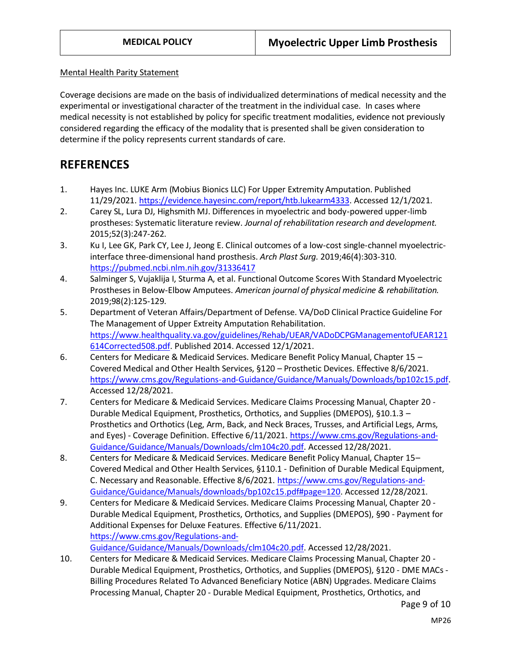#### Mental Health Parity Statement

Coverage decisions are made on the basis of individualized determinations of medical necessity and the experimental or investigational character of the treatment in the individual case. In cases where medical necessity is not established by policy for specific treatment modalities, evidence not previously considered regarding the efficacy of the modality that is presented shall be given consideration to determine if the policy represents current standards of care.

### **REFERENCES**

- 1. Hayes Inc. LUKE Arm (Mobius Bionics LLC) For Upper Extremity Amputation. Published 11/29/2021[. https://evidence.hayesinc.com/report/htb.lukearm4333.](https://evidence.hayesinc.com/report/htb.lukearm4333) Accessed 12/1/2021.
- 2. Carey SL, Lura DJ, Highsmith MJ. Differences in myoelectric and body-powered upper-limb prostheses: Systematic literature review. *Journal of rehabilitation research and development.*  2015;52(3):247-262.
- 3. Ku I, Lee GK, Park CY, Lee J, Jeong E. Clinical outcomes of a low-cost single-channel myoelectricinterface three-dimensional hand prosthesis. *Arch Plast Surg.* 2019;46(4):303-310. <https://pubmed.ncbi.nlm.nih.gov/31336417>
- 4. Salminger S, Vujaklija I, Sturma A, et al. Functional Outcome Scores With Standard Myoelectric Prostheses in Below-Elbow Amputees. *American journal of physical medicine & rehabilitation.*  2019;98(2):125-129.
- 5. Department of Veteran Affairs/Department of Defense. VA/DoD Clinical Practice Guideline For The Management of Upper Extreity Amputation Rehabilitation. [https://www.healthquality.va.gov/guidelines/Rehab/UEAR/VADoDCPGManagementofUEAR121](https://www.healthquality.va.gov/guidelines/Rehab/UEAR/VADoDCPGManagementofUEAR121614Corrected508.pdf) [614Corrected508.pdf.](https://www.healthquality.va.gov/guidelines/Rehab/UEAR/VADoDCPGManagementofUEAR121614Corrected508.pdf) Published 2014. Accessed 12/1/2021.
- 6. Centers for Medicare & Medicaid Services. Medicare Benefit Policy Manual, Chapter 15 Covered Medical and Other Health Services, §120 – Prosthetic Devices. Effective 8/6/2021. [https://www.cms.gov/Regulations-and-Guidance/Guidance/Manuals/Downloads/bp102c15.pdf.](https://www.cms.gov/Regulations-and-Guidance/Guidance/Manuals/Downloads/bp102c15.pdf) Accessed 12/28/2021.
- 7. Centers for Medicare & Medicaid Services. Medicare Claims Processing Manual, Chapter 20 Durable Medical Equipment, Prosthetics, Orthotics, and Supplies (DMEPOS), §10.1.3 – Prosthetics and Orthotics (Leg, Arm, Back, and Neck Braces, Trusses, and Artificial Legs, Arms, and Eyes) - Coverage Definition. Effective 6/11/2021. [https://www.cms.gov/Regulations-and-](https://www.cms.gov/Regulations-and-Guidance/Guidance/Manuals/Downloads/clm104c20.pdf)[Guidance/Guidance/Manuals/Downloads/clm104c20.pdf.](https://www.cms.gov/Regulations-and-Guidance/Guidance/Manuals/Downloads/clm104c20.pdf) Accessed 12/28/2021.
- 8. Centers for Medicare & Medicaid Services. Medicare Benefit Policy Manual, Chapter 15– Covered Medical and Other Health Services, §110.1 - Definition of Durable Medical Equipment, C. Necessary and Reasonable. Effective 8/6/2021. [https://www.cms.gov/Regulations-and-](https://www.cms.gov/Regulations-and-Guidance/Guidance/Manuals/downloads/bp102c15.pdf#page=120)[Guidance/Guidance/Manuals/downloads/bp102c15.pdf#page=120.](https://www.cms.gov/Regulations-and-Guidance/Guidance/Manuals/downloads/bp102c15.pdf#page=120) Accessed 12/28/2021.
- 9. Centers for Medicare & Medicaid Services. Medicare Claims Processing Manual, Chapter 20 Durable Medical Equipment, Prosthetics, Orthotics, and Supplies (DMEPOS), §90 - Payment for Additional Expenses for Deluxe Features. Effective 6/11/2021. [https://www.cms.gov/Regulations-and-](https://www.cms.gov/Regulations-and-Guidance/Guidance/Manuals/Downloads/clm104c20.pdf)[Guidance/Guidance/Manuals/Downloads/clm104c20.pdf.](https://www.cms.gov/Regulations-and-Guidance/Guidance/Manuals/Downloads/clm104c20.pdf) Accessed 12/28/2021.
- 10. Centers for Medicare & Medicaid Services. Medicare Claims Processing Manual, Chapter 20 Durable Medical Equipment, Prosthetics, Orthotics, and Supplies (DMEPOS), §120 - DME MACs - Billing Procedures Related To Advanced Beneficiary Notice (ABN) Upgrades. Medicare Claims Processing Manual, Chapter 20 - Durable Medical Equipment, Prosthetics, Orthotics, and

Page 9 of 10